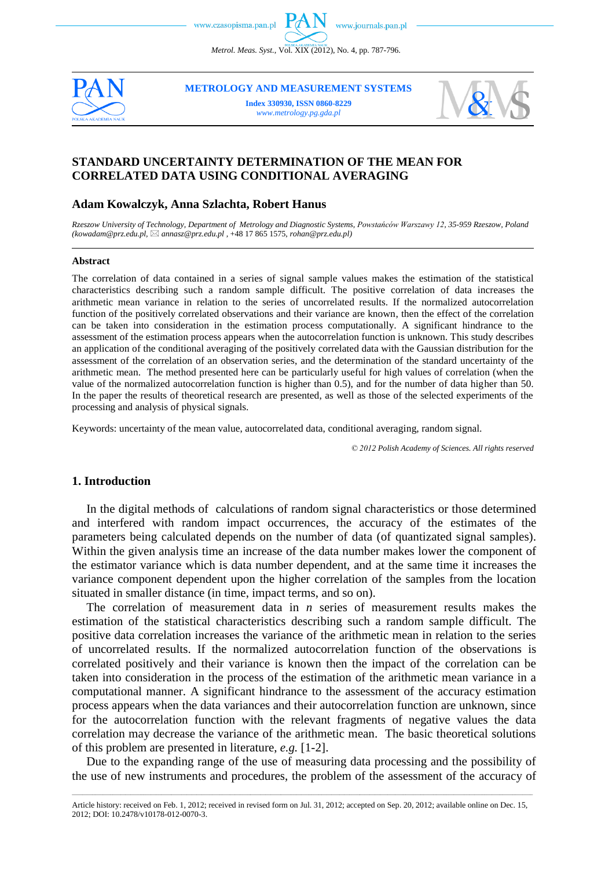www.czasopisma.pan.pl

*Metrol. Meas. Syst.*, Vol. XIX (2012), No. 4, pp. 787-796.



**METROLOGY AND MEASUREMENT SYSTEMS**

**Index 330930, ISSN 0860-8229** *www.metrology.pg.gda.pl*



# **STANDARD UNCERTAINTY DETERMINATION OF THE MEAN FOR CORRELATED DATA USING CONDITIONAL AVERAGING**

### **Adam Kowalczyk, Anna Szlachta, Robert Hanus**

*Rzeszow University of Technology, Department of Metrology and Diagnostic Systems, Powstańców Warszawy 12, 35-959 Rzeszow, Poland (kowadam@prz.edu.pl, [annasz@prz.edu.pl](mailto:annasz@prz.edu.pl) ,* +48 17 865 1575, *rohan@prz.edu.pl)*

#### **Abstract**

The correlation of data contained in a series of signal sample values makes the estimation of the statistical characteristics describing such a random sample difficult. The positive correlation of data increases the arithmetic mean variance in relation to the series of uncorrelated results. If the normalized autocorrelation function of the positively correlated observations and their variance are known, then the effect of the correlation can be taken into consideration in the estimation process computationally. A significant hindrance to the assessment of the estimation process appears when the autocorrelation function is unknown. This study describes an application of the conditional averaging of the positively correlated data with the Gaussian distribution for the assessment of the correlation of an observation series, and the determination of the standard uncertainty of the arithmetic mean. The method presented here can be particularly useful for high values of correlation (when the value of the normalized autocorrelation function is higher than 0.5), and for the number of data higher than 50. In the paper the results of theoretical research are presented, as well as those of the selected experiments of the processing and analysis of physical signals.

Keywords: uncertainty of the mean value, autocorrelated data, conditional averaging, random signal.

*© 2012 Polish Academy of Sciences. All rights reserved*

#### **1. Introduction**

In the digital methods of calculations of random signal characteristics or those determined and interfered with random impact occurrences, the accuracy of the estimates of the parameters being calculated depends on the number of data (of quantizated signal samples). Within the given analysis time an increase of the data number makes lower the component of the estimator variance which is data number dependent, and at the same time it increases the variance component dependent upon the higher correlation of the samples from the location situated in smaller distance (in time, impact terms, and so on).

The correlation of measurement data in *n* series of measurement results makes the estimation of the statistical characteristics describing such a random sample difficult. The positive data correlation increases the variance of the arithmetic mean in relation to the series of uncorrelated results. If the normalized autocorrelation function of the observations is correlated positively and their variance is known then the impact of the correlation can be taken into consideration in the process of the estimation of the arithmetic mean variance in a computational manner. A significant hindrance to the assessment of the accuracy estimation process appears when the data variances and their autocorrelation function are unknown, since for the autocorrelation function with the relevant fragments of negative values the data correlation may decrease the variance of the arithmetic mean. The basic theoretical solutions of this problem are presented in literature, *e.g.* [1-2].

Due to the expanding range of the use of measuring data processing and the possibility of the use of new instruments and procedures, the problem of the assessment of the accuracy of

\_\_\_\_\_\_\_\_\_\_\_\_\_\_\_\_\_\_\_\_\_\_\_\_\_\_\_\_\_\_\_\_\_\_\_\_\_\_\_\_\_\_\_\_\_\_\_\_\_\_\_\_\_\_\_\_\_\_\_\_\_\_\_\_\_\_\_\_\_\_\_\_\_\_\_\_\_\_\_\_\_\_\_\_\_\_\_\_\_\_\_\_\_\_\_\_\_\_\_\_\_\_\_\_\_\_\_\_\_\_\_\_\_\_\_\_\_\_\_\_\_\_\_\_\_\_\_\_\_\_\_\_\_\_\_\_\_\_\_\_\_\_\_\_\_\_\_\_\_\_\_\_\_\_\_\_\_\_\_\_\_\_\_\_\_\_\_\_\_\_\_\_\_\_\_\_\_\_\_\_\_ Article history: received on Feb. 1, 2012; received in revised form on Jul. 31, 2012; accepted on Sep. 20, 2012; available online on Dec. 15, 2012; DOI: 10.2478/v10178-012-0070-3.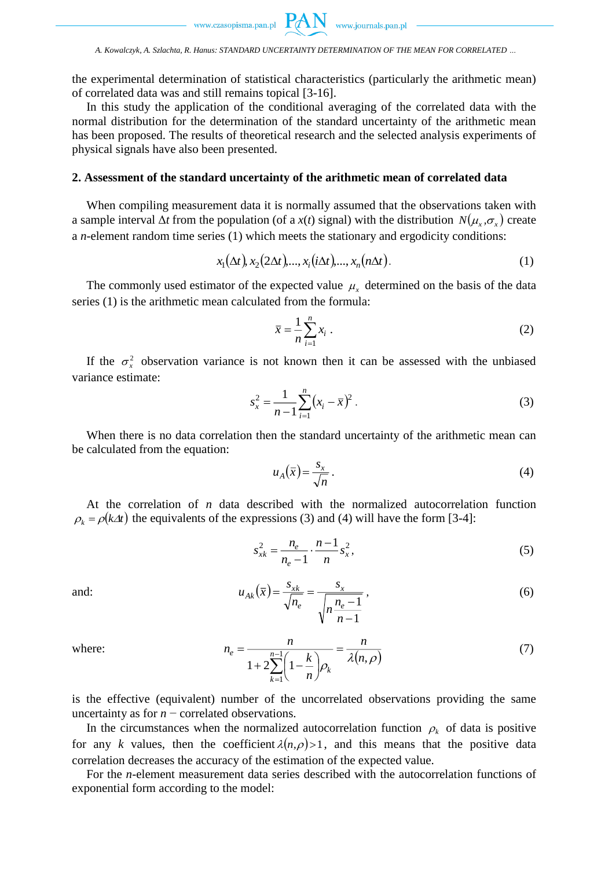www.czasopisma.pan.pl  $PAN$ 

the experimental determination of statistical characteristics (particularly the arithmetic mean) of correlated data was and still remains topical [3-16].

In this study the application of the conditional averaging of the correlated data with the normal distribution for the determination of the standard uncertainty of the arithmetic mean has been proposed. The results of theoretical research and the selected analysis experiments of physical signals have also been presented.

## **2. Assessment of the standard uncertainty of the arithmetic mean of correlated data**

When compiling measurement data it is normally assumed that the observations taken with a sample interval  $\Delta t$  from the population (of a  $x(t)$  signal) with the distribution  $N(\mu_x, \sigma_x)$  create a *n*-element random time series (1) which meets the stationary and ergodicity conditions:

$$
x_1(\Delta t), x_2(2\Delta t), \dots, x_i(i\Delta t), \dots, x_n(n\Delta t).
$$
 (1)

The commonly used estimator of the expected value  $\mu_x$  determined on the basis of the data series (1) is the arithmetic mean calculated from the formula:

$$
\overline{x} = \frac{1}{n} \sum_{i=1}^{n} x_i \tag{2}
$$

If the  $\sigma_x^2$  observation variance is not known then it can be assessed with the unbiased variance estimate:

$$
s_x^2 = \frac{1}{n-1} \sum_{i=1}^n (x_i - \bar{x})^2
$$
 (3)

When there is no data correlation then the standard uncertainty of the arithmetic mean can be calculated from the equation:

$$
u_A(\bar{x}) = \frac{s_x}{\sqrt{n}}\,. \tag{4}
$$

At the correlation of *n* data described with the normalized autocorrelation function  $\rho_k = \rho(k\Delta t)$  the equivalents of the expressions (3) and (4) will have the form [3-4]:

$$
s_{x k}^{2} = \frac{n_{e}}{n_{e} - 1} \cdot \frac{n - 1}{n} s_{x}^{2},
$$
 (5)

$$
u_{Ak}(\bar{x}) = \frac{s_{xk}}{\sqrt{n_e}} = \frac{s_x}{\sqrt{n_e - 1}},
$$
\n(6)

where:

and:

$$
n_e = \frac{n}{1 + 2\sum_{k=1}^{n-1} \left(1 - \frac{k}{n}\right) \rho_k} = \frac{n}{\lambda(n, \rho)}
$$
(7)

is the effective (equivalent) number of the uncorrelated observations providing the same uncertainty as for *n* − correlated observations.

In the circumstances when the normalized autocorrelation function  $\rho_k$  of data is positive for any *k* values, then the coefficient  $\lambda(n,\rho) > 1$ , and this means that the positive data correlation decreases the accuracy of the estimation of the expected value.

For the *n*-element measurement data series described with the autocorrelation functions of exponential form according to the model: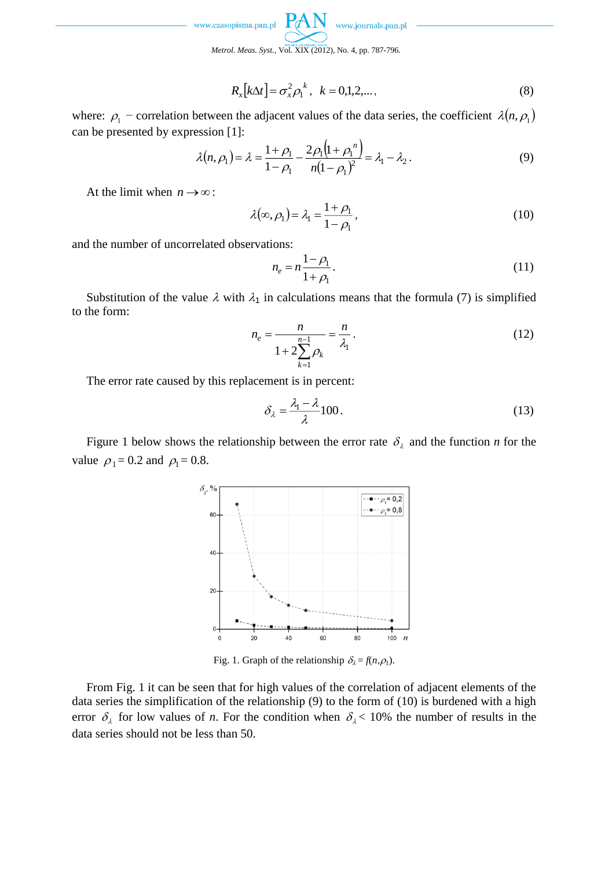www.czasopisma.pan.pl

www.journals.pan.pl

*Metrol. Meas. Syst.*, Vol. XIX (2012), No. 4, pp. 787-796.

$$
R_x[k\Delta t] = \sigma_x^2 \rho_1^k, \ \ k = 0, 1, 2, \dots,
$$
\n(8)

where:  $\rho_1$  – correlation between the adjacent values of the data series, the coefficient  $\lambda(n, \rho_1)$ can be presented by expression [1]:

$$
\lambda(n,\rho_1) = \lambda = \frac{1+\rho_1}{1-\rho_1} - \frac{2\rho_1(1+\rho_1^{n})}{n(1-\rho_1)^2} = \lambda_1 - \lambda_2.
$$
\n(9)

At the limit when  $n \to \infty$ :

$$
\lambda(\infty, \rho_1) = \lambda_1 = \frac{1 + \rho_1}{1 - \rho_1},\tag{10}
$$

and the number of uncorrelated observations:

$$
n_e = n \frac{1 - \rho_1}{1 + \rho_1}.
$$
 (11)

Substitution of the value  $\lambda$  with  $\lambda_1$  in calculations means that the formula (7) is simplified to the form:

$$
n_e = \frac{n}{1 + 2\sum_{k=1}^{n-1} \rho_k} = \frac{n}{\lambda_1}.
$$
 (12)

The error rate caused by this replacement is in percent:

$$
\delta_{\lambda} = \frac{\lambda_1 - \lambda}{\lambda} 100. \tag{13}
$$

Figure 1 below shows the relationship between the error rate  $\delta_{\lambda}$  and the function *n* for the value  $\rho_1 = 0.2$  and  $\rho_1 = 0.8$ .



Fig. 1. Graph of the relationship  $\delta_{\lambda} = f(n, \rho_1)$ .

From Fig. 1 it can be seen that for high values of the correlation of adjacent elements of the data series the simplification of the relationship (9) to the form of (10) is burdened with a high error  $\delta_{\lambda}$  for low values of *n*. For the condition when  $\delta_{\lambda}$  < 10% the number of results in the data series should not be less than 50.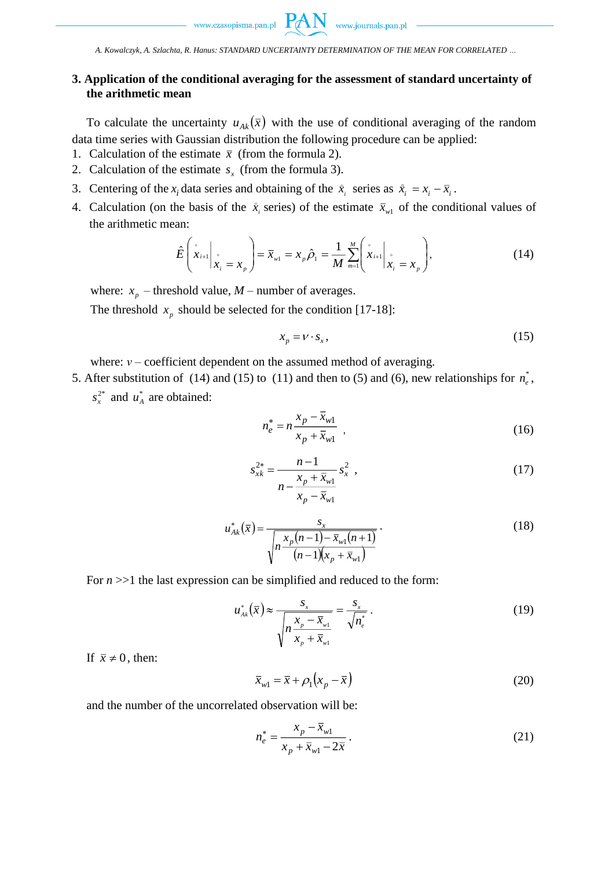$\begin{minipage}{.4\linewidth} {\normalsize \begin{tabular}{l} \textbf{www.czasopisma.pan.pl} \end{tabular}} \end{minipage} \begin{minipage}{.45\linewidth} \textbf{RAW} & \textbf{www.journals.pan.pl} \end{minipage} \end{minipage}$ 

*A. Kowalczyk, A. Szlachta, R. Hanus: STANDARD UNCERTAINTY DETERMINATION OF THE MEAN FOR CORRELATED …*

# **3. Application of the conditional averaging for the assessment of standard uncertainty of the arithmetic mean**

To calculate the uncertainty  $u_{Ak}(\bar{x})$  with the use of conditional averaging of the random data time series with Gaussian distribution the following procedure can be applied:

- 1. Calculation of the estimate  $\bar{x}$  (from the formula 2).
- 2. Calculation of the estimate  $s<sub>x</sub>$  (from the formula 3).
- 3. Centering of the  $x_i$  data series and obtaining of the  $\dot{x}_i$  series as  $\dot{x}_i = x_i \overline{x}_i$ .
- 4. Calculation (on the basis of the  $\dot{x}_i$  series) of the estimate  $\bar{x}_{w1}$  of the conditional values of the arithmetic mean:

$$
\hat{E}\left(\hat{x}_{i+1}\bigg|_{\hat{x}_i} = x_{p}\right) = \bar{x}_{w1} = x_{p}\hat{\rho}_1 = \frac{1}{M} \sum_{m=1}^{M} \left(\hat{x}_{i+1}\bigg|_{\hat{x}_i} = x_{p}\right),
$$
\n(14)

where:  $x_p$  – threshold value,  $M$  – number of averages.

The threshold  $x_p$  should be selected for the condition [17-18]:

$$
x_p = v \cdot s_x,\tag{15}
$$

where: *ν* – coefficient dependent on the assumed method of averaging.

- 5. After substitution of (14) and (15) to (11) and then to (5) and (6), new relationships for  $n_e^*$ ,
	- $s_x^2$  and  $u_A^*$  are obtained:

$$
n_e^* = n \frac{x_p - \bar{x}_{w1}}{x_p + \bar{x}_{w1}} \tag{16}
$$

$$
s_{x k}^{2*} = \frac{n-1}{n - \frac{x_p + \overline{x}_{w1}}{x_p - \overline{x}_{w1}}} s_x^2 ,
$$
 (17)

$$
u_{Ak}^{*}(\bar{x}) = \frac{s_{x}}{\sqrt{n \frac{x_{p}(n-1) - \bar{x}_{w1}(n+1)}{(n-1)(x_{p} + \bar{x}_{w1})}}}.
$$
\n(18)

For  $n \gg 1$  the last expression can be simplified and reduced to the form:

$$
u_{\scriptscriptstyle{Ak}}^{*}(\overline{x}) \approx \frac{s_{\scriptscriptstyle{x}}}{\sqrt{n \frac{x_{\scriptscriptstyle{p}} - \overline{x}_{\scriptscriptstyle{w1}}}{x_{\scriptscriptstyle{p}} + \overline{x}_{\scriptscriptstyle{w1}}}}} = \frac{s_{\scriptscriptstyle{x}}}{\sqrt{n_{\scriptscriptstyle{e}}^{*}}} \,. \tag{19}
$$

If  $\bar{x} \neq 0$ , then:

$$
\bar{x}_{w1} = \bar{x} + \rho_1 \left( x_p - \bar{x} \right) \tag{20}
$$

and the number of the uncorrelated observation will be:

$$
n_e^* = \frac{x_p - \bar{x}_{w1}}{x_p + \bar{x}_{w1} - 2\bar{x}}.
$$
 (21)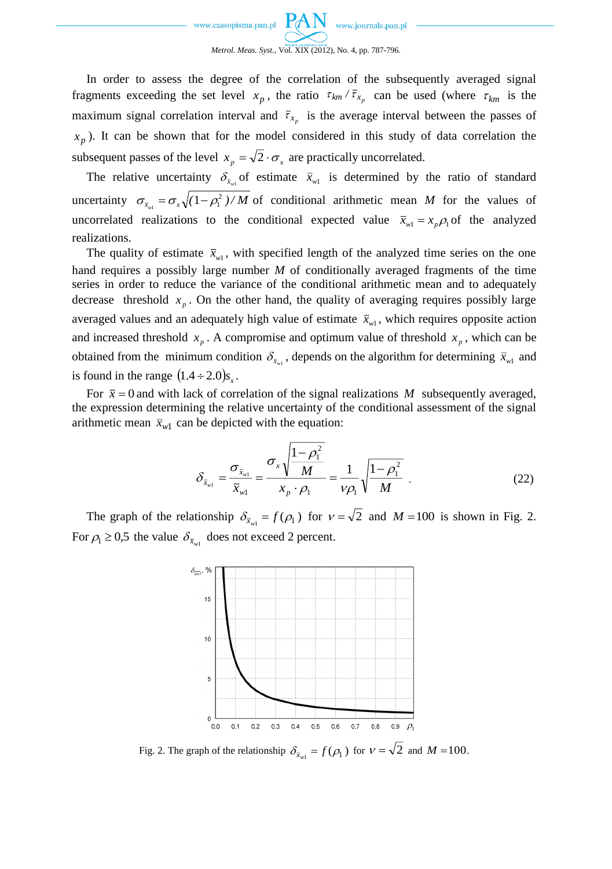

In order to assess the degree of the correlation of the subsequently averaged signal fragments exceeding the set level  $x_p$ , the ratio  $\tau_{km}/\bar{\tau}_{x_p}$  can be used (where  $\tau_{km}$  is the maximum signal correlation interval and  $\bar{\tau}_{x_p}$  is the average interval between the passes of  $x_p$ ). It can be shown that for the model considered in this study of data correlation the subsequent passes of the level  $x_p = \sqrt{2} \cdot \sigma_x$  are practically uncorrelated.

The relative uncertainty  $\delta_{\bar{x}_{w1}}$  of estimate  $\bar{x}_{w1}$  is determined by the ratio of standard uncertainty  $\sigma_{\bar{x}_{w1}} = \sigma_x \sqrt{(1 - \rho_1^2) / M}$  of conditional arithmetic mean *M* for the values of uncorrelated realizations to the conditional expected value  $\bar{x}_{w1} = x_p \rho_1$  of the analyzed realizations.

The quality of estimate  $\bar{x}_{w1}$ , with specified length of the analyzed time series on the one hand requires a possibly large number *M* of conditionally averaged fragments of the time series in order to reduce the variance of the conditional arithmetic mean and to adequately decrease threshold  $x_p$ . On the other hand, the quality of averaging requires possibly large averaged values and an adequately high value of estimate  $\bar{x}_{w1}$ , which requires opposite action and increased threshold  $x_p$ . A compromise and optimum value of threshold  $x_p$ , which can be obtained from the minimum condition  $\delta_{\bar{x}_{w1}}$ , depends on the algorithm for determining  $\bar{x}_{w1}$  and is found in the range  $(1.4 \div 2.0)s_x$ .

For  $\bar{x} = 0$  and with lack of correlation of the signal realizations M subsequently averaged, the expression determining the relative uncertainty of the conditional assessment of the signal arithmetic mean  $\bar{x}_{w1}$  can be depicted with the equation:

$$
\delta_{\bar{x}_{w1}} = \frac{\sigma_{\bar{x}_{w1}}}{\bar{x}_{w1}} = \frac{\sigma_x \sqrt{\frac{1-\rho_1^2}{M}}}{x_p \cdot \rho_1} = \frac{1}{\nu \rho_1} \sqrt{\frac{1-\rho_1^2}{M}} \tag{22}
$$

The graph of the relationship  $\delta_{\bar{x}_{w1}} = f(\rho_1)$  for  $v = \sqrt{2}$  and  $M = 100$  is shown in Fig. 2. For  $\rho_1 \geq 0.5$  the value  $\delta_{\bar{x}_{w1}}$  does not exceed 2 percent.



Fig. 2. The graph of the relationship  $\delta_{\bar{x}_{w1}} = f(\rho_1)$  for  $v = \sqrt{2}$  and  $M = 100$ .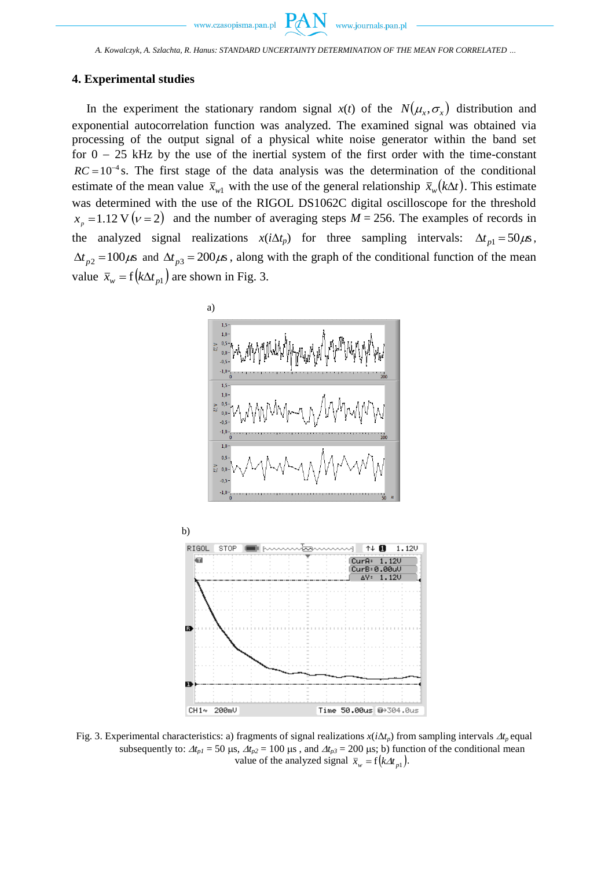$P\mathcal{A}$ 

# **4. Experimental studies**

In the experiment the stationary random signal  $x(t)$  of the  $N(\mu_x, \sigma_x)$  distribution and exponential autocorrelation function was analyzed. The examined signal was obtained via processing of the output signal of a physical white noise generator within the band set for  $0 - 25$  kHz by the use of the inertial system of the first order with the time-constant  $RC = 10^{-4}$  s. The first stage of the data analysis was the determination of the conditional estimate of the mean value  $\bar{x}_{w1}$  with the use of the general relationship  $\bar{x}_{w}(k\Delta t)$ . This estimate was determined with the use of the RIGOL DS1062C digital oscilloscope for the threshold  $x_p = 1.12$  V  $(\nu = 2)$  and the number of averaging steps  $M = 256$ . The examples of records in the analyzed signal realizations  $x(i\Delta t_p)$  for three sampling intervals:  $\Delta t_{p1} = 50 \mu s$ ,  $\Delta t_{p2} = 100 \mu s$  and  $\Delta t_{p3} = 200 \mu s$ , along with the graph of the conditional function of the mean value  $\bar{x}_w = f(k\Delta t_{p1})$  are shown in Fig. 3.



Fig. 3. Experimental characteristics: a) fragments of signal realizations  $x(i\Delta t_p)$  from sampling intervals  $\Delta t_p$  equal subsequently to:  $\Delta t_{p1} = 50 \text{ }\mu\text{s}$ ,  $\Delta t_{p2} = 100 \text{ }\mu\text{s}$ , and  $\Delta t_{p3} = 200 \text{ }\mu\text{s}$ ; b) function of the conditional mean value of the analyzed signal  $\bar{x}_w = f(k \Delta t_{p1})$ .

Time 50.00us 0+304.0us

 $CH14$ 

200mV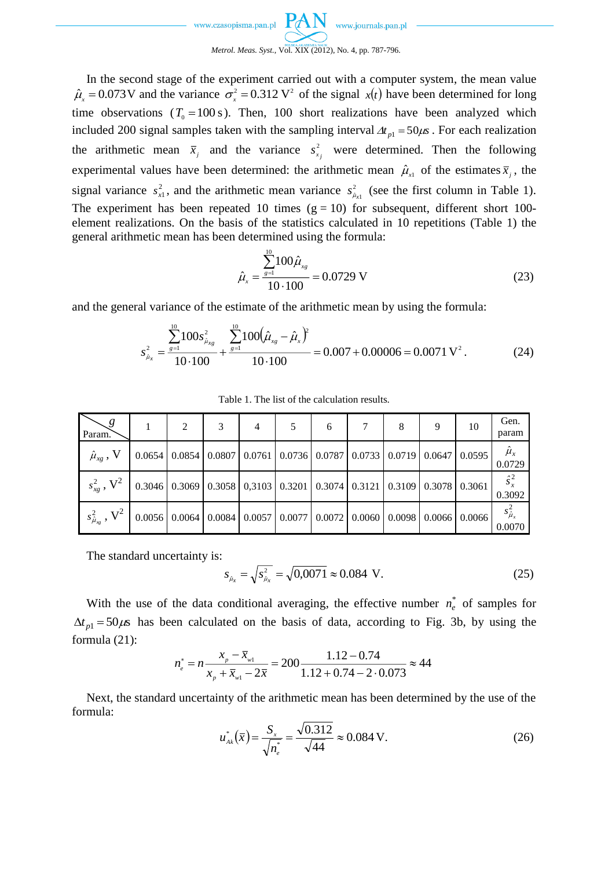

In the second stage of the experiment carried out with a computer system, the mean value  $\hat{\mu}_x = 0.073$  V and the variance  $\sigma_x^2 = 0.312$  V<sup>2</sup> of the signal  $x(t)$  have been determined for long time observations  $(T_0 = 100 \text{ s})$ . Then, 100 short realizations have been analyzed which included 200 signal samples taken with the sampling interval  $\Delta t_{p1} = 50 \mu s$ . For each realization the arithmetic mean  $\bar{x}_j$  and the variance  $s_x^2$  $s_{x_j}^2$  were determined. Then the following experimental values have been determined: the arithmetic mean  $\hat{\mu}_{x_1}$  of the estimates  $\bar{x}_j$ , the signal variance  $s_{x1}^2$ , and the arithmetic mean variance  $s_{\hat{\mu}}^2$  $s_{\hat{\mu}_{x1}}^2$  (see the first column in Table 1). The experiment has been repeated 10 times  $(g = 10)$  for subsequent, different short 100element realizations. On the basis of the statistics calculated in 10 repetitions (Table 1) the general arithmetic mean has been determined using the formula:

$$
\hat{\mu}_x = \frac{\sum_{g=1}^{10} 100 \hat{\mu}_{xg}}{10 \cdot 100} = 0.0729 \text{ V}
$$
\n(23)

and the general variance of the estimate of the arithmetic mean by using the formula:

$$
s_{\hat{\mu}_x}^2 = \frac{\sum_{s=1}^{10} 100 s_{\hat{\mu}_{xg}}^2}{10 \cdot 100} + \frac{\sum_{s=1}^{10} 100 (\hat{\mu}_{xg} - \hat{\mu}_x)^2}{10 \cdot 100} = 0.007 + 0.00006 = 0.0071 \text{ V}^2. \tag{24}
$$

| Param.                                                                                                                       | $\mathcal{D}$ | 4 | 6 | 8 | 10 | Gen.<br>param           |
|------------------------------------------------------------------------------------------------------------------------------|---------------|---|---|---|----|-------------------------|
| $\hat{\mu}_{xg}$ , V   0.0654   0.0854   0.0807   0.0761   0.0736   0.0787   0.0733   0.0719   0.0647   0.0595               |               |   |   |   |    | $\hat{\mu}_x$<br>0.0729 |
| $s_{x}^{2}$ , $V^{2}$   0.3046   0.3069   0.3058   0,3103   0.3201   0.3074   0.3121   0.3109   0.3078   0.3061              |               |   |   |   |    | $\hat{s}_x^2$<br>0.3092 |
| $s_{\hat{\mu}_{\infty}}^2$ , $V^2$   0.0056   0.0064   0.0084   0.0057   0.0077   0.0072   0.0060   0.0098   0.0066   0.0066 |               |   |   |   |    | $s_{\mu_x}^2$<br>0.0070 |

Table 1. The list of the calculation results.

The standard uncertainty is:

$$
s_{\hat{\mu}_x} = \sqrt{s_{\hat{\mu}_x}^2} = \sqrt{0,0071} \approx 0.084 \text{ V.}
$$
 (25)

With the use of the data conditional averaging, the effective number  $n_e^*$  of samples for  $\Delta t_{p1} = 50 \mu s$  has been calculated on the basis of data, according to Fig. 3b, by using the formula (21):

$$
n_e^* = n \frac{x_p - \bar{x}_{w1}}{x_p + \bar{x}_{w1} - 2\bar{x}} = 200 \frac{1.12 - 0.74}{1.12 + 0.74 - 2 \cdot 0.073} \approx 44
$$

Next, the standard uncertainty of the arithmetic mean has been determined by the use of the formula:

$$
u_{\scriptscriptstyle{Ak}}^{*}(\bar{x}) = \frac{S_{\scriptscriptstyle{x}}}{\sqrt{n_{\scriptscriptstyle{e}}^{*}}} = \frac{\sqrt{0.312}}{\sqrt{44}} \approx 0.084 \text{ V}.
$$
 (26)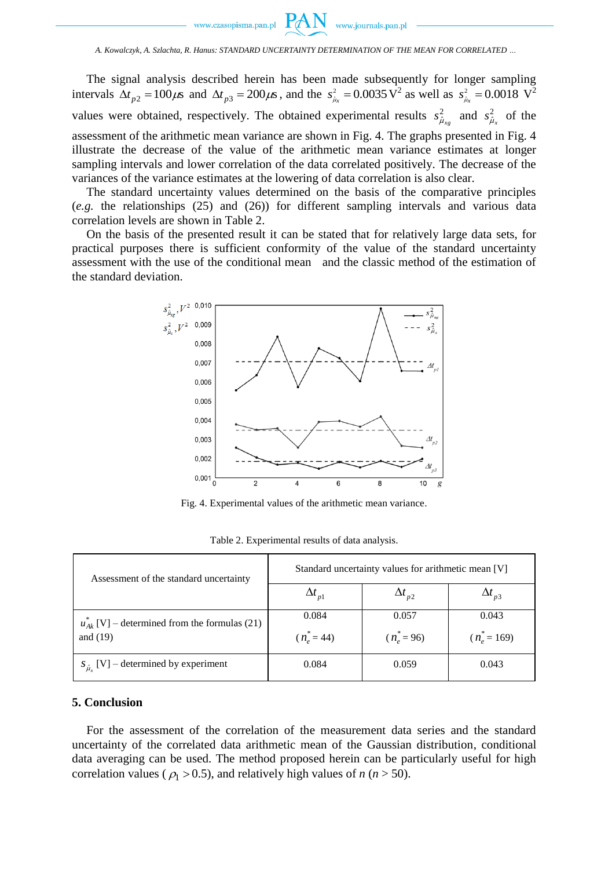

PA

The signal analysis described herein has been made subsequently for longer sampling intervals  $\Delta t_{p2} = 100 \mu s$  and  $\Delta t_{p3} = 200 \mu s$ , and the  $s_{\hat{\mu}_x}^2 = 0.0035 \text{ V}^2$  as well as  $s_{\hat{\mu}_x}^2 = 0.0018 \text{ V}^2$ values were obtained, respectively. The obtained experimental results  $s_{\hat{\mu}_{x_g}}^2$  and  $s_{\hat{\mu}_{x}}^2$  of the assessment of the arithmetic mean variance are shown in Fig. 4. The graphs presented in Fig. 4 illustrate the decrease of the value of the arithmetic mean variance estimates at longer sampling intervals and lower correlation of the data correlated positively. The decrease of the variances of the variance estimates at the lowering of data correlation is also clear.

The standard uncertainty values determined on the basis of the comparative principles (*e.g.* the relationships (25) and (26)) for different sampling intervals and various data correlation levels are shown in Table 2.

On the basis of the presented result it can be stated that for relatively large data sets, for practical purposes there is sufficient conformity of the value of the standard uncertainty assessment with the use of the conditional mean and the classic method of the estimation of the standard deviation.



Fig. 4. Experimental values of the arithmetic mean variance.

| Assessment of the standard uncertainty              | Standard uncertainty values for arithmetic mean [V] |                 |                 |  |  |  |
|-----------------------------------------------------|-----------------------------------------------------|-----------------|-----------------|--|--|--|
|                                                     | $\Delta t_{p1}$                                     | $\Delta t_{p2}$ | $\Delta t_{p3}$ |  |  |  |
| $u_{Ak}^{*}[V]$ – determined from the formulas (21) | 0.084                                               | 0.057           | 0.043           |  |  |  |
| and $(19)$                                          | $(n_e^* = 44)$                                      | $(n_e^* = 96)$  | $(n_e^* = 169)$ |  |  |  |
| $S_{\hat{\mu}_n}$ [V] – determined by experiment    | 0.084                                               | 0.059           | 0.043           |  |  |  |

Table 2. Experimental results of data analysis.

### **5. Conclusion**

For the assessment of the correlation of the measurement data series and the standard uncertainty of the correlated data arithmetic mean of the Gaussian distribution, conditional data averaging can be used. The method proposed herein can be particularly useful for high correlation values ( $\rho_1 > 0.5$ ), and relatively high values of *n* (*n* > 50).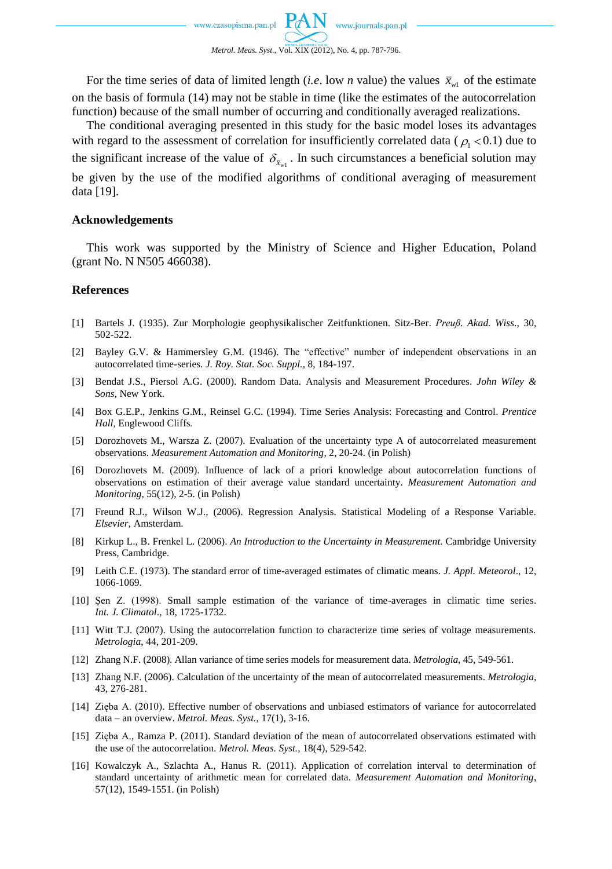

For the time series of data of limited length (*i.e.* low *n* value) the values  $\bar{x}_{w1}$  of the estimate on the basis of formula (14) may not be stable in time (like the estimates of the autocorrelation function) because of the small number of occurring and conditionally averaged realizations.

The conditional averaging presented in this study for the basic model loses its advantages with regard to the assessment of correlation for insufficiently correlated data ( $\rho_1$  < 0.1) due to the significant increase of the value of  $\delta_{\bar{x}_{w1}}$ . In such circumstances a beneficial solution may be given by the use of the modified algorithms of conditional averaging of measurement data [19].

#### **Acknowledgements**

This work was supported by the Ministry of Science and Higher Education, Poland (grant No. N N505 466038).

### **References**

- [1] Bartels J. (1935). Zur Morphologie geophysikalischer Zeitfunktionen. Sitz-Ber. *Preuß. Akad. Wiss*., 30, 502-522.
- [2] Bayley G.V. & Hammersley G.M. (1946). The "effective" number of independent observations in an autocorrelated time-series. *J. Roy. Stat. Soc. Suppl.*, 8, 184-197.
- [3] Bendat J.S., Piersol A.G. (2000). Random Data. Analysis and Measurement Procedures. *John Wiley & Sons*, New York.
- [4] Box G.E.P., Jenkins G.M., Reinsel G.C. (1994). Time Series Analysis: Forecasting and Control. *Prentice Hall,* Englewood Cliffs*.*
- [5] Dorozhovets M., Warsza Z. (2007). Evaluation of the uncertainty type A of autocorrelated measurement observations. *Measurement Automation and Monitoring*, 2, 20-24. (in Polish)
- [6] Dorozhovets M. (2009). Influence of lack of a priori knowledge about autocorrelation functions of observations on estimation of their average value standard uncertainty. *Measurement Automation and Monitoring*, 55(12), 2-5. (in Polish)
- [7] Freund R.J., Wilson W.J., (2006). Regression Analysis. Statistical Modeling of a Response Variable. *Elsevier*, Amsterdam.
- [8] Kirkup L., B. Frenkel L. (2006). *An Introduction to the Uncertainty in Measurement.* Cambridge University Press, Cambridge.
- [9] Leith C.E. (1973). The standard error of time-averaged estimates of climatic means. *J. Appl. Meteorol*., 12, 1066-1069.
- [10] Şen Z. (1998). Small sample estimation of the variance of time-averages in climatic time series. *Int. J. Climatol*., 18, 1725-1732.
- [11] Witt T.J. (2007). Using the autocorrelation function to characterize time series of voltage measurements. *Metrologia*, 44, 201-209.
- [12] Zhang N.F. (2008). Allan variance of time series models for measurement data. *Metrologia*, 45, 549-561.
- [13] Zhang N.F. (2006). Calculation of the uncertainty of the mean of autocorrelated measurements. *Metrologia*, 43, 276-281.
- [14] Zięba A. (2010). Effective number of observations and unbiased estimators of variance for autocorrelated data – an overview. *Metrol. Meas. Syst.*, 17(1), 3-16.
- [15] Zięba A., Ramza P. (2011). Standard deviation of the mean of autocorrelated observations estimated with the use of the autocorrelation. *Metrol. Meas. Syst.,* 18(4), 529-542.
- [16] Kowalczyk A., Szlachta A., Hanus R. (2011). Application of correlation interval to determination of standard uncertainty of arithmetic mean for correlated data. *Measurement Automation and Monitoring*, 57(12), 1549-1551. (in Polish)